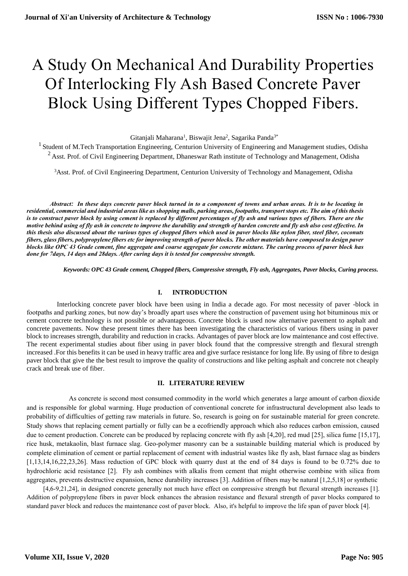# A Study On Mechanical And Durability Properties Of Interlocking Fly Ash Based Concrete Paver Block Using Different Types Chopped Fibers.

Gitanjali Maharana<sup>1</sup>, Biswajit Jena<sup>2</sup>, Sagarika Panda<sup>3\*</sup>

<sup>1</sup> Student of M.Tech Transportation Engineering, Centurion University of Engineering and Management studies, Odisha  $2$  Asst. Prof. of Civil Engineering Department, Dhaneswar Rath institute of Technology and Management, Odisha

<sup>3</sup>Asst. Prof. of Civil Engineering Department, Centurion University of Technology and Management, Odisha

 *Abstract: In these days concrete paver block turned in to a component of towns and urban areas. It is to be locating in residential, commercial and industrial areas like as shopping malls, parking areas, footpaths, transport stops etc. The aim of this thesis is to construct paver block by using cement is replaced by different percentages of fly ash and various types of fibers. There are the motive behind using of fly ash in concrete to improve the durability and strength of harden concrete and fly ash also cost effective. In this thesis also discussed about the various types of chopped fibers which used in paver blocks like nylon fiber, steel fiber, coconuts fibers, glass fibers, polypropylene fibers etc for improving strength of paver blocks. The other materials have composed to design paver blocks like OPC 43 Grade cement, fine aggregate and coarse aggregate for concrete mixture. The curing process of paver block has done for 7days, 14 days and 28days. After curing days it is tested for compressive strength.*

 *Keywords: OPC 43 Grade cement, Chopped fibers, Compressive strength, Fly ash, Aggregates, Paver blocks, Curing process.*

#### **I. INTRODUCTION**

 Interlocking concrete paver block have been using in India a decade ago. For most necessity of paver -block in footpaths and parking zones, but now day's broadly apart uses where the construction of pavement using hot bituminous mix or cement concrete technology is not possible or advantageous. Concrete block is used now alternative pavement to asphalt and concrete pavements. Now these present times there has been investigating the characteristics of various fibers using in paver block to increases strength, durability and reduction in cracks. Advantages of paver block are low maintenance and cost effective. The recent experimental studies about fiber using in paver block found that the compressive strength and flexural strength increased .For this benefits it can be used in heavy traffic area and give surface resistance for long life. By using of fibre to design paver block that give the the best result to improve the quality of constructions and like pelting asphalt and concrete not cheaply crack and break use of fiber.

#### **II. LITERATURE REVIEW**

 As concrete is second most consumed commodity in the world which generates a large amount of carbon dioxide and is responsible for global warming. Huge production of conventional concrete for infrastructural development also leads to probability of difficulties of getting raw materials in future. So, research is going on for sustainable material for green concrete. Study shows that replacing cement partially or fully can be a ecofriendly approach which also reduces carbon emission, caused due to cement production. Concrete can be produced by replacing concrete with fly ash [4,20], red mud [25], silica fume [15,17], rice husk, metakaolin, blast furnace slag. Geo-polymer masonry can be a sustainable building material which is produced by complete elimination of cement or partial replacement of cement with industrial wastes like fly ash, blast furnace slag as binders [1,13,14,16,22,23,26]. Mass reduction of GPC block with quarry dust at the end of 84 days is found to be 0.72% due to hydrochloric acid resistance [2]. Fly ash combines with alkalis from cement that might otherwise combine with silica from aggregates, prevents destructive expansion, hence durability increases [3]. Addition of fibers may be natural [1,2,5,18] or synthetic

[4,6-9,21,24], in designed concrete generally not much have effect on compressive strength but flexural strength increases [1]. Addition of polypropylene fibers in paver block enhances the abrasion resistance and flexural strength of paver blocks compared to standard paver block and reduces the maintenance cost of paver block. Also, it's helpful to improve the life span of paver block [4].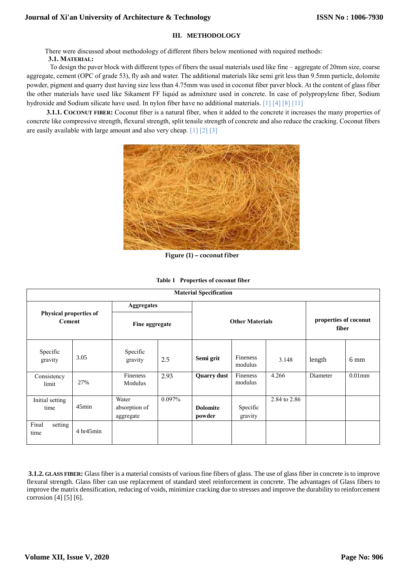# **III. METHODOLOGY**

There were discussed about methodology of different fibers below mentioned with required methods:

#### **3.1. MATERIAL:**

 To design the paver block with different types of fibers the usual materials used like fine – aggregate of 20mm size, coarse aggregate, cement (OPC of grade 53), fly ash and water. The additional materials like semi grit less than 9.5mm particle, dolomite powder, pigment and quarry dust having size less than 4.75mm was used in coconut fiber paver block. At the content of glass fiber the other materials have used like Sikament FF liquid as admixture used in concrete. In case of polypropylene fiber, Sodium hydroxide and Sodium silicate have used. In nylon fiber have no additional materials. [1] [4] [8] [11]

**3.1.1. COCONUT FIBER:** Coconut fiber is a natural fiber, when it added to the concrete it increases the many properties of concrete like compressive strength, flexural strength, split tensile strength of concrete and also reduce the cracking. Coconut fibers are easily available with large amount and also very cheap. [1] [2] [3]



 **Figure (1) – coconut fiber**

|  |  | Table 1 Properties of coconut fiber |
|--|--|-------------------------------------|
|--|--|-------------------------------------|

| <b>Material Specification</b>           |              |                                     |        |                           |                            |                                |          |           |
|-----------------------------------------|--------------|-------------------------------------|--------|---------------------------|----------------------------|--------------------------------|----------|-----------|
| Physical properties of<br><b>Cement</b> |              | <b>Aggregates</b><br>Fine aggregate |        |                           |                            |                                |          |           |
|                                         |              |                                     |        |                           | <b>Other Materials</b>     | properties of coconut<br>fiber |          |           |
| Specific<br>gravity                     | 3.05         | Specific<br>gravity                 | 2.5    | Semi grit                 | <b>Fineness</b><br>modulus | 3.148                          | length   | 6 mm      |
| Consistency<br>limit                    | 27%          | Fineness<br>Modulus                 | 2.93   | <b>Quarry dust</b>        | Fineness<br>modulus        | 4.266                          | Diameter | $0.01$ mm |
| Initial setting<br>time                 | 45min        | Water<br>absorption of<br>aggregate | 0.097% | <b>Dolomite</b><br>powder | Specific<br>gravity        | 2.84 to 2.86                   |          |           |
| Final<br>setting<br>time                | 4 h r 45 min |                                     |        |                           |                            |                                |          |           |

**3.1.2. GLASS FIBER:** Glass fiber is a material consists of various fine fibers of glass. The use of glass fiber in concrete is to improve flexural strength. Glass fiber can use replacement of standard steel reinforcement in concrete. The advantages of Glass fibers to improve the matrix densification, reducing of voids, minimize cracking due to stresses and improve the durability to reinforcement corrosion [4] [5] [6].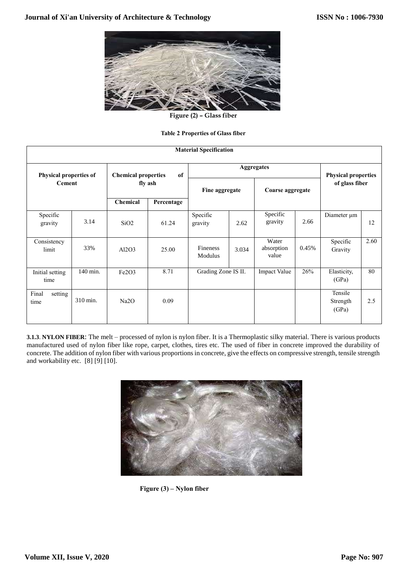

**Figure (2) – Glass fiber**

## **Table 2 Properties of Glass fiber**

| <b>Material Specification</b>                  |          |                            |            |                            |                                              |                              |       |                              |      |  |
|------------------------------------------------|----------|----------------------------|------------|----------------------------|----------------------------------------------|------------------------------|-------|------------------------------|------|--|
|                                                |          | <b>Chemical properties</b> | of         |                            | <b>Physical properties</b><br>of glass fiber |                              |       |                              |      |  |
| <b>Physical properties of</b><br><b>Cement</b> |          | fly ash                    |            | Fine aggregate             |                                              |                              |       | Coarse aggregate             |      |  |
|                                                |          | <b>Chemical</b>            | Percentage |                            |                                              |                              |       |                              |      |  |
| Specific<br>gravity                            | 3.14     | SiO <sub>2</sub>           | 61.24      | Specific<br>gravity        | 2.62                                         | Specific<br>gravity          | 2.66  | Diameter µm                  | 12   |  |
| Consistency<br>limit                           | 33%      | Al2O3                      | 25.00      | <b>Fineness</b><br>Modulus | 3.034                                        | Water<br>absorption<br>value | 0.45% | Specific<br>Gravity          | 2.60 |  |
| Initial setting<br>time                        | 140 min. | Fe2O3                      | 8.71       | Grading Zone IS II.        |                                              | Impact Value                 | 26%   | Elasticity,<br>(GPa)         | 80   |  |
| Final<br>setting<br>time                       | 310 min. | Na2O                       | 0.09       |                            |                                              |                              |       | Tensile<br>Strength<br>(GPa) | 2.5  |  |

**3.1.3**. **NYLON FIBER**: The melt – processed of nylon is nylon fiber. It is a Thermoplastic silky material. There is various products manufactured used of nylon fiber like rope, carpet, clothes, tires etc. The used of fiber in concrete improved the durability of concrete. The addition of nylon fiber with various proportions in concrete, give the effects on compressive strength, tensile strength and workability etc. [8] [9] [10].



 **Figure (3) – Nylon fiber**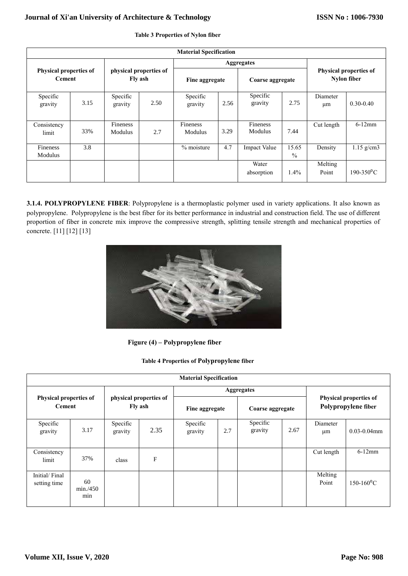# **Journal of Xi'an University of Architecture & Technology**

|                                                | <b>Material Specification</b> |                                   |      |                            |                   |                     |                        |                                              |                            |  |
|------------------------------------------------|-------------------------------|-----------------------------------|------|----------------------------|-------------------|---------------------|------------------------|----------------------------------------------|----------------------------|--|
|                                                |                               |                                   |      |                            | <b>Aggregates</b> |                     |                        |                                              |                            |  |
| <b>Physical properties of</b><br><b>Cement</b> |                               | physical properties of<br>Fly ash |      | Fine aggregate             |                   | Coarse aggregate    |                        | Physical properties of<br><b>Nylon</b> fiber |                            |  |
| Specific<br>gravity                            | 3.15                          | Specific<br>gravity               | 2.50 | Specific<br>gravity        | 2.56              | Specific<br>gravity | 2.75                   | Diameter<br>μm                               | $0.30 - 0.40$              |  |
| Consistency<br>limit                           | 33%                           | Fineness<br>Modulus               | 2.7  | Fineness<br><b>Modulus</b> | 3.29              | Fineness<br>Modulus | 7.44                   | Cut length                                   | $6-12$ mm                  |  |
| Fineness<br>Modulus                            | 3.8                           |                                   |      | % moisture                 | 4.7               | <b>Impact Value</b> | 15.65<br>$\frac{0}{0}$ | Density                                      | $1.15$ g/cm3               |  |
|                                                |                               |                                   |      |                            |                   | Water<br>absorption | 1.4%                   | Melting<br>Point                             | $190 - 350$ <sup>o</sup> C |  |

## **Table 3 Properties of Nylon fiber**

**3.1.4. POLYPROPYLENE FIBER**: Polypropylene is a thermoplastic polymer used in variety applications. It also known as polypropylene. Polypropylene is the best fiber for its better performance in industrial and construction field. The use of different proportion of fiber in concrete mix improve the compressive strength, splitting tensile strength and mechanical properties of concrete. [11] [12] [13]



 **Figure (4) – Polypropylene fiber**

|  | <b>Table 4 Properties of Polypropylene fiber</b> |
|--|--------------------------------------------------|
|--|--------------------------------------------------|

| <b>Material Specification</b>                  |                       |                                   |      |                     |                   |                                                      |      |                  |                     |
|------------------------------------------------|-----------------------|-----------------------------------|------|---------------------|-------------------|------------------------------------------------------|------|------------------|---------------------|
| <b>Physical properties of</b><br><b>Cement</b> |                       | physical properties of<br>Fly ash |      |                     | <b>Aggregates</b> | <b>Physical properties of</b><br>Polypropylene fiber |      |                  |                     |
|                                                |                       |                                   |      | Fine aggregate      |                   |                                                      |      | Coarse aggregate |                     |
| Specific<br>gravity                            | 3.17                  | Specific<br>gravity               | 2.35 | Specific<br>gravity | 2.7               | Specific<br>gravity                                  | 2.67 | Diameter<br>μm   | $0.03 - 0.04$ mm    |
| Consistency<br>limit                           | 37%                   | class                             | F    |                     |                   |                                                      |      | Cut length       | $6-12$ mm           |
| Initial/Final<br>setting time                  | 60<br>min./450<br>min |                                   |      |                     |                   |                                                      |      | Melting<br>Point | $150-160^{\circ}$ C |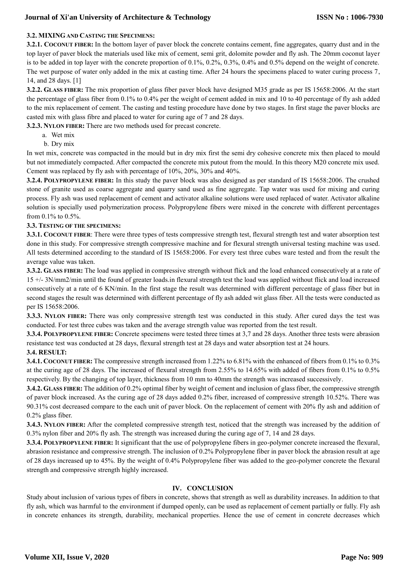# **Journal of Xi'an University of Architecture & Technology**

## **3.2. MIXINGAND CASTING THE SPECIMENS:**

**3.2.1. COCONUT FIBER:** In the bottom layer of paver block the concrete contains cement, fine aggregates, quarry dust and in the top layer of paver block the materials used like mix of cement, semi grit, dolomite powder and fly ash. The 20mm coconut layer is to be added in top layer with the concrete proportion of 0.1%, 0.2%, 0.3%, 0.4% and 0.5% depend on the weight of concrete. The wet purpose of water only added in the mix at casting time. After 24 hours the specimens placed to water curing process 7, 14, and 28 days. [1]

**3.2.2. GLASS FIBER:** The mix proportion of glass fiber paver block have designed M35 grade as per IS 15658:2006. At the start the percentage of glass fiber from 0.1% to 0.4% per the weight of cement added in mix and 10 to 40 percentage of fly ash added to the mix replacement of cement. The casting and testing procedure have done by two stages. In first stage the paver blocks are casted mix with glass fibre and placed to water for curing age of 7 and 28 days.

**3.2.3. NYLON FIBER:** There are two methods used for precast concrete.

- a. Wet mix
- b. Dry mix

In wet mix, concrete was compacted in the mould but in dry mix first the semi dry cohesive concrete mix then placed to mould but not immediately compacted. After compacted the concrete mix putout from the mould. In this theory M20 concrete mix used. Cement was replaced by fly ash with percentage of 10%, 20%, 30% and 40%.

**3.2.4. POLYPROPYLENE FIBER:** In this study the paver block was also designed as per standard of IS 15658:2006. The crushed stone of granite used as coarse aggregate and quarry sand used as fine aggregate. Tap water was used for mixing and curing process. Fly ash was used replacement of cement and activator alkaline solutions were used replaced of water. Activator alkaline solution is specially used polymerization process. Polypropylene fibers were mixed in the concrete with different percentages from 0.1% to 0.5%.

## **3.3. TESTING OF THE SPECIMENS:**

**3.3.1. COCONUT FIBER:** There were three types of tests compressive strength test, flexural strength test and water absorption test done in this study. For compressive strength compressive machine and for flexural strength universal testing machine was used. All tests determined according to the standard of IS 15658:2006. For every test three cubes ware tested and from the result the average value was taken.

**3.3.2. GLASS FIBER:** The load was applied in compressive strength without flick and the load enhanced consecutively at a rate of 15 +/- 3N/mm2/min until the found of greater loads.in flexural strength test the load was applied without flick and load increased consecutively at a rate of 6 KN/min. In the first stage the result was determined with different percentage of glass fiber but in second stages the result was determined with different percentage of fly ash added wit glass fiber. All the tests were conducted as per IS 15658:2006.

**3.3.3. NYLON FIBER:** There was only compressive strength test was conducted in this study. After cured days the test was conducted. For test three cubes was taken and the average strength value was reported from the test result.

**3.3.4. POLYPROPYLENE FIBER:** Concrete specimens were tested three times at 3,7 and 28 days. Another three tests were abrasion resistance test was conducted at 28 days, flexural strength test at 28 days and water absorption test at 24 hours.

## **3.4. RESULT:**

**3.4.1. COCONUT FIBER:** The compressive strength increased from 1.22% to 6.81% with the enhanced of fibers from 0.1% to 0.3% at the curing age of 28 days. The increased of flexural strength from 2.55% to 14.65% with added of fibers from 0.1% to 0.5% respectively. By the changing of top layer, thickness from 10 mm to 40mm the strength was increased successively.

**3.4.2. GLASS FIBER:** The addition of 0.2% optimal fiber by weight of cement and inclusion of glass fiber, the compressive strength of paver block increased. As the curing age of 28 days added 0.2% fiber, increased of compressive strength 10.52%. There was 90.31% cost decreased compare to the each unit of paver block. On the replacement of cement with 20% fly ash and addition of 0.2% glass fiber.

**3.4.3. NYLON FIBER:** After the completed compressive strength test, noticed that the strength was increased by the addition of 0.3% nylon fiber and 20% fly ash. The strength was increased during the curing age of 7, 14 and 28 days.

**3.3.4. POLYPROPYLENE FIBER:** It significant that the use of polypropylene fibers in geo-polymer concrete increased the flexural, abrasion resistance and compressive strength. The inclusion of 0.2% Polypropylene fiber in paver block the abrasion result at age of 28 days increased up to 45%. By the weight of 0.4% Polypropylene fiber was added to the geo-polymer concrete the flexural strength and compressive strength highly increased.

## **IV. CONCLUSION**

Study about inclusion of various types of fibers in concrete, shows that strength as well as durability increases. In addition to that fly ash, which was harmful to the environment if dumped openly, can be used as replacement of cement partially or fully. Fly ash in concrete enhances its strength, durability, mechanical properties. Hence the use of cement in concrete decreases which